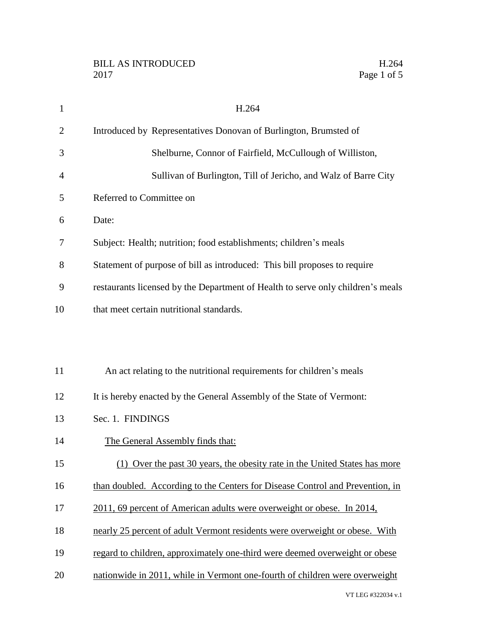| $\mathbf{1}$   | H.264                                                                           |
|----------------|---------------------------------------------------------------------------------|
| $\overline{2}$ | Introduced by Representatives Donovan of Burlington, Brumsted of                |
| 3              | Shelburne, Connor of Fairfield, McCullough of Williston,                        |
| 4              | Sullivan of Burlington, Till of Jericho, and Walz of Barre City                 |
| 5              | Referred to Committee on                                                        |
| 6              | Date:                                                                           |
| 7              | Subject: Health; nutrition; food establishments; children's meals               |
| 8              | Statement of purpose of bill as introduced: This bill proposes to require       |
| 9              | restaurants licensed by the Department of Health to serve only children's meals |
| 10             | that meet certain nutritional standards.                                        |
|                |                                                                                 |
|                |                                                                                 |
| 11             | An act relating to the nutritional requirements for children's meals            |
| 12             | It is hereby enacted by the General Assembly of the State of Vermont:           |
| 13             | Sec. 1. FINDINGS                                                                |
| 14             | The General Assembly finds that:                                                |
| 15             | (1) Over the past 30 years, the obesity rate in the United States has more      |
| 16             | than doubled. According to the Centers for Disease Control and Prevention, in   |
| 17             | 2011, 69 percent of American adults were overweight or obese. In 2014,          |
| 18             | nearly 25 percent of adult Vermont residents were overweight or obese. With     |
| 19             | regard to children, approximately one-third were deemed overweight or obese     |
| 20             | nationwide in 2011, while in Vermont one-fourth of children were overweight     |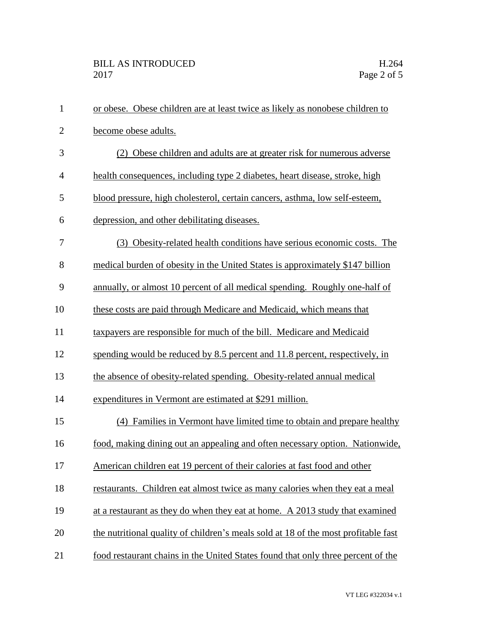| $\mathbf{1}$   | or obese. Obese children are at least twice as likely as nonobese children to      |
|----------------|------------------------------------------------------------------------------------|
| $\overline{2}$ | become obese adults.                                                               |
| 3              | (2) Obese children and adults are at greater risk for numerous adverse             |
| $\overline{4}$ | health consequences, including type 2 diabetes, heart disease, stroke, high        |
| 5              | blood pressure, high cholesterol, certain cancers, asthma, low self-esteem,        |
| 6              | depression, and other debilitating diseases.                                       |
| 7              | (3) Obesity-related health conditions have serious economic costs. The             |
| 8              | medical burden of obesity in the United States is approximately \$147 billion      |
| 9              | annually, or almost 10 percent of all medical spending. Roughly one-half of        |
| 10             | these costs are paid through Medicare and Medicaid, which means that               |
| 11             | taxpayers are responsible for much of the bill. Medicare and Medicaid              |
| 12             | spending would be reduced by 8.5 percent and 11.8 percent, respectively, in        |
| 13             | the absence of obesity-related spending. Obesity-related annual medical            |
| 14             | expenditures in Vermont are estimated at \$291 million.                            |
| 15             | (4) Families in Vermont have limited time to obtain and prepare healthy            |
| 16             | food, making dining out an appealing and often necessary option. Nationwide,       |
| 17             | American children eat 19 percent of their calories at fast food and other          |
| 18             | restaurants. Children eat almost twice as many calories when they eat a meal       |
| 19             | at a restaurant as they do when they eat at home. A 2013 study that examined       |
| 20             | the nutritional quality of children's meals sold at 18 of the most profitable fast |
| 21             | food restaurant chains in the United States found that only three percent of the   |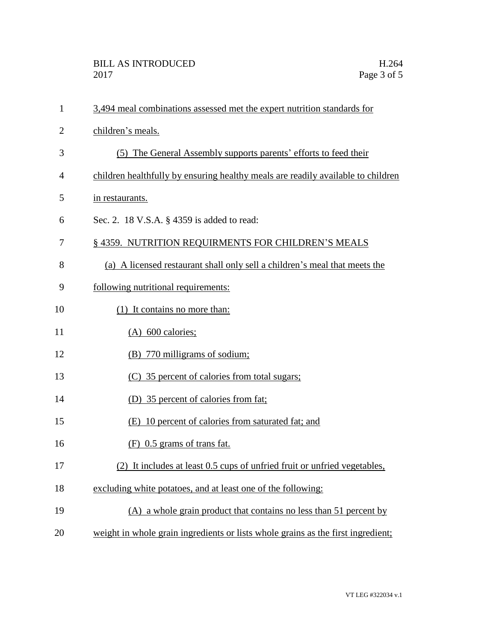| $\mathbf{1}$   | 3,494 meal combinations assessed met the expert nutrition standards for          |
|----------------|----------------------------------------------------------------------------------|
| $\overline{2}$ | children's meals.                                                                |
| 3              | (5) The General Assembly supports parents' efforts to feed their                 |
| 4              | children healthfully by ensuring healthy meals are readily available to children |
| 5              | in restaurants.                                                                  |
| 6              | Sec. 2. 18 V.S.A. § 4359 is added to read:                                       |
| 7              | § 4359. NUTRITION REQUIRMENTS FOR CHILDREN'S MEALS                               |
| 8              | (a) A licensed restaurant shall only sell a children's meal that meets the       |
| 9              | following nutritional requirements:                                              |
| 10             | (1) It contains no more than:                                                    |
| 11             | (A) 600 calories;                                                                |
| 12             | (B) 770 milligrams of sodium;                                                    |
| 13             | (C) 35 percent of calories from total sugars;                                    |
| 14             | (D) 35 percent of calories from fat;                                             |
| 15             | (E) 10 percent of calories from saturated fat; and                               |
| 16             | $(F)$ 0.5 grams of trans fat.                                                    |
| 17             | (2)<br>It includes at least 0.5 cups of unfried fruit or unfried vegetables,     |
| 18             | excluding white potatoes, and at least one of the following:                     |
| 19             | (A) a whole grain product that contains no less than 51 percent by               |
| 20             | weight in whole grain ingredients or lists whole grains as the first ingredient; |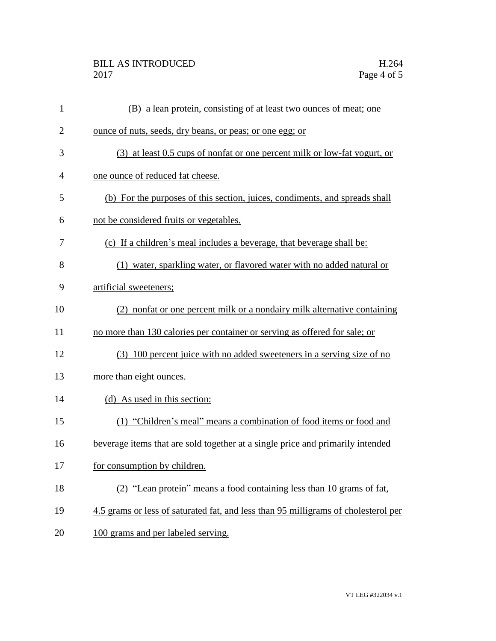## BILL AS INTRODUCED H.264 2017 Page 4 of 5

| $\mathbf{1}$   | (B) a lean protein, consisting of at least two ounces of meat; one                 |
|----------------|------------------------------------------------------------------------------------|
| $\overline{2}$ | ounce of nuts, seeds, dry beans, or peas; or one egg; or                           |
| 3              | (3) at least 0.5 cups of nonfat or one percent milk or low-fat yogurt, or          |
| 4              | one ounce of reduced fat cheese.                                                   |
| 5              | (b) For the purposes of this section, juices, condiments, and spreads shall        |
| 6              | not be considered fruits or vegetables.                                            |
| 7              | (c) If a children's meal includes a beverage, that beverage shall be:              |
| 8              | (1) water, sparkling water, or flavored water with no added natural or             |
| 9              | artificial sweeteners;                                                             |
| 10             | (2) nonfat or one percent milk or a nondairy milk alternative containing           |
| 11             | no more than 130 calories per container or serving as offered for sale; or         |
| 12             | (3) 100 percent juice with no added sweeteners in a serving size of no             |
| 13             | more than eight ounces.                                                            |
| 14             | (d) As used in this section:                                                       |
| 15             | (1) "Children's meal" means a combination of food items or food and                |
| 16             | beverage items that are sold together at a single price and primarily intended     |
| 17             | for consumption by children.                                                       |
| 18             | (2) "Lean protein" means a food containing less than 10 grams of fat,              |
| 19             | 4.5 grams or less of saturated fat, and less than 95 milligrams of cholesterol per |
| 20             | 100 grams and per labeled serving.                                                 |